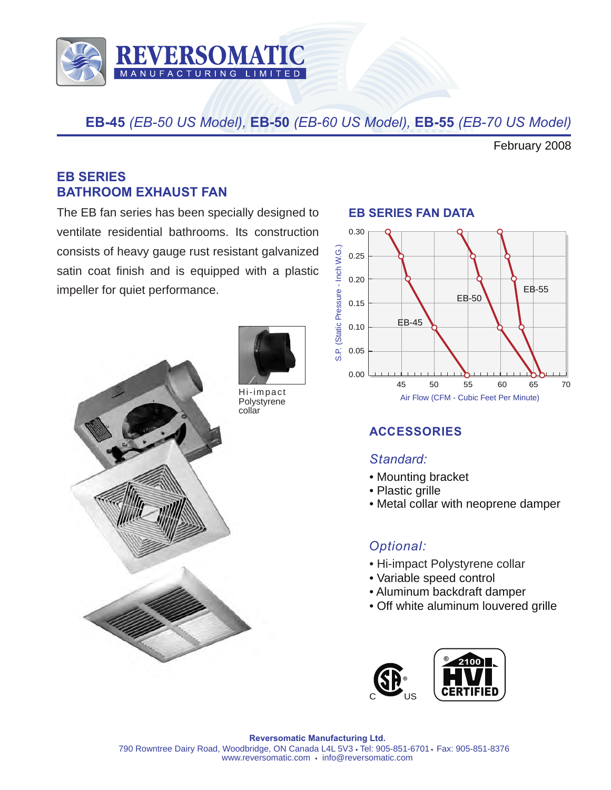

**EB-45** *(EB-50 US Model),* **EB-50** *(EB-60 US Model),* **EB-55** *(EB-70 US Model)* 

February 2008

#### **EB SERIES BATHROOM EXHAUST FAN**

The EB fan series has been specially designed to ventilate residential bathrooms. Its construction consists of heavy gauge rust resistant galvanized satin coat finish and is equipped with a plastic impeller for quiet performance.





Hi-impact **Polystyrene** 

#### **EB SERIES FAN DATA**



### **ACCESSORIES**

#### *Standard:*

- Mounting bracket
- Plastic grille
- Metal collar with neoprene damper

### *Optional:*

- Hi-impact Polystyrene collar
- Variable speed control
- Aluminum backdraft damper
- Off white aluminum louvered grille